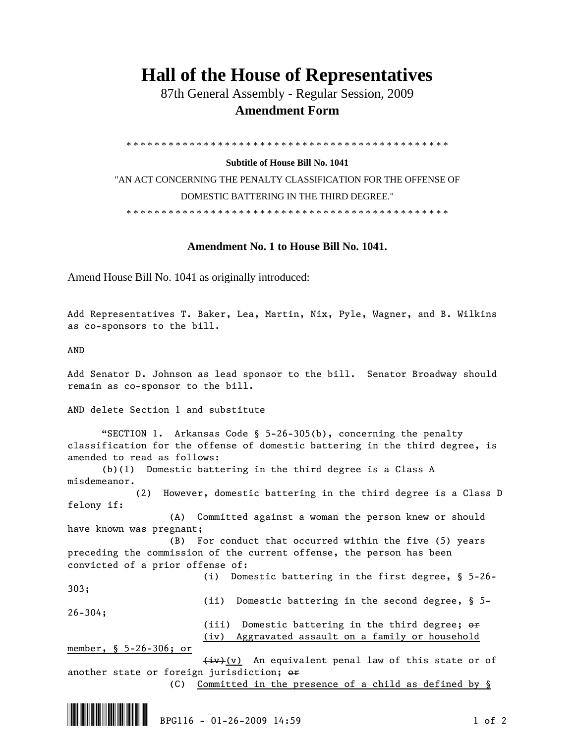## **Hall of the House of Representatives**

 87th General Assembly - Regular Session, 2009  **Amendment Form** 

\* \* \* \* \* \* \* \* \* \* \* \* \* \* \* \* \* \* \* \* \* \* \* \* \* \* \* \* \* \* \* \* \* \* \* \* \* \* \* \* \* \* \* \* \* \*

## **Subtitle of House Bill No. 1041**

"AN ACT CONCERNING THE PENALTY CLASSIFICATION FOR THE OFFENSE OF DOMESTIC BATTERING IN THE THIRD DEGREE."

\* \* \* \* \* \* \* \* \* \* \* \* \* \* \* \* \* \* \* \* \* \* \* \* \* \* \* \* \* \* \* \* \* \* \* \* \* \* \* \* \* \* \* \* \* \*

## **Amendment No. 1 to House Bill No. 1041.**

Amend House Bill No. 1041 as originally introduced:

Add Representatives T. Baker, Lea, Martin, Nix, Pyle, Wagner, and B. Wilkins as co-sponsors to the bill.

AND

Add Senator D. Johnson as lead sponsor to the bill. Senator Broadway should remain as co-sponsor to the bill.

AND delete Section 1 and substitute

 "SECTION 1. Arkansas Code § 5-26-305(b), concerning the penalty classification for the offense of domestic battering in the third degree, is amended to read as follows:

 (b)(1) Domestic battering in the third degree is a Class A misdemeanor.

 (2) However, domestic battering in the third degree is a Class D felony if:

 (A) Committed against a woman the person knew or should have known was pregnant;

 (B) For conduct that occurred within the five (5) years preceding the commission of the current offense, the person has been convicted of a prior offense of:

 (i) Domestic battering in the first degree, § 5-26- 303; (ii) Domestic battering in the second degree, § 5- 26-304; (iii) Domestic battering in the third degree; or (iv) Aggravated assault on a family or household member, § 5-26-306; or

 $\frac{div}{v}$  An equivalent penal law of this state or of another state or foreign jurisdiction; or

(C) Committed in the presence of a child as defined by §